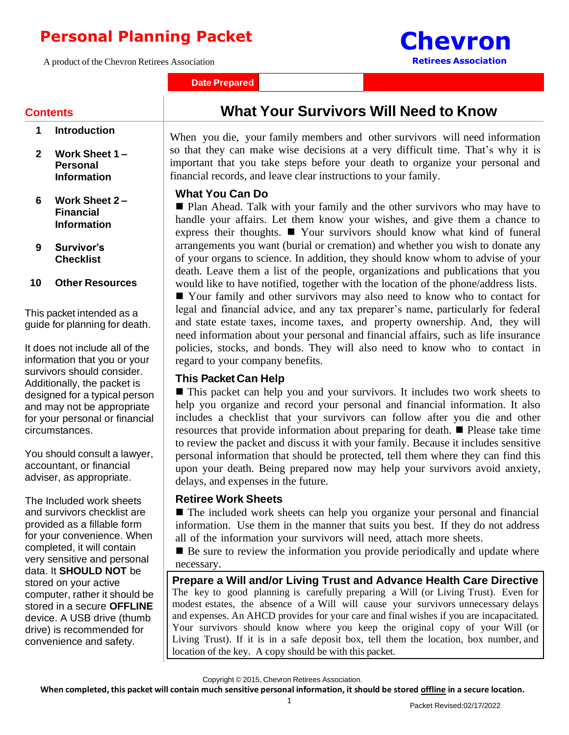# **Personal Planning Packet**

A product of the Chevron Retirees Association

**Date Prepared**

# **Contents**

- **1 Introduction**
- **2 Work Sheet 1 – Personal Information**
- **6 Work Sheet 2 – Financial Information**
- **9 Survivor's Checklist**
- **10 Other Resources**

This packet intended as a guide for planning for death.

It does not include all of the information that you or your survivors should consider. Additionally, the packet is designed for a typical person and may not be appropriate for your personal or financial circumstances.

You should consult a lawyer, accountant, or financial adviser, as appropriate.

The Included work sheets and survivors checklist are provided as a fillable form for your convenience. When completed, it will contain very sensitive and personal data. It **SHOULD NOT** be stored on your active computer, rather it should be stored in a secure **OFFLINE** device. A USB drive (thumb drive) is recommended for convenience and safety.

**What Your Survivors Will Need to Know**

**Chevron**

**Retirees Association**

When you die, your family members and other survivors will need information so that they can make wise decisions at a very difficult time. That's why it is important that you take steps before your death to organize your personal and financial records, and leave clear instructions to your family.

#### **What You Can Do**

■ Plan Ahead. Talk with your family and the other survivors who may have to handle your affairs. Let them know your wishes, and give them a chance to express their thoughts. ◼ Your survivors should know what kind of funeral arrangements you want (burial or cremation) and whether you wish to donate any of your organs to science. In addition, they should know whom to advise of your death. Leave them a list of the people, organizations and publications that you would like to have notified, together with the location of the phone/address lists.

■ Your family and other survivors may also need to know who to contact for legal and financial advice, and any tax preparer's name, particularly for federal and state estate taxes, income taxes, and property ownership. And, they will need information about your personal and financial affairs, such as life insurance policies, stocks, and bonds. They will also need to know who to contact in regard to your company benefits.

# **This Packet Can Help**

■ This packet can help you and your survivors. It includes two work sheets to help you organize and record your personal and financial information. It also includes a checklist that your survivors can follow after you die and other resources that provide information about preparing for death. ◼ Please take time to review the packet and discuss it with your family. Because it includes sensitive personal information that should be protected, tell them where they can find this upon your death. Being prepared now may help your survivors avoid anxiety, delays, and expenses in the future.

#### **Retiree Work Sheets**

■ The included work sheets can help you organize your personal and financial information. Use them in the manner that suits you best. If they do not address all of the information your survivors will need, attach more sheets.

■ Be sure to review the information you provide periodically and update where necessary.

**Prepare a Will and/or Living Trust and Advance Health Care Directive** The key to good planning is carefully preparing a Will (or Living Trust). Even for modest estates, the absence of a Will will cause your survivors unnecessary delays and expenses. An AHCD provides for your care and final wishes if you are incapacitated. Your survivors should know where you keep the original copy of your Will (or Living Trust). If it is in a safe deposit box, tell them the location, box number, and location of the key. A copy should be with this packet.

Copyright © 2015, Chevron Retirees Association.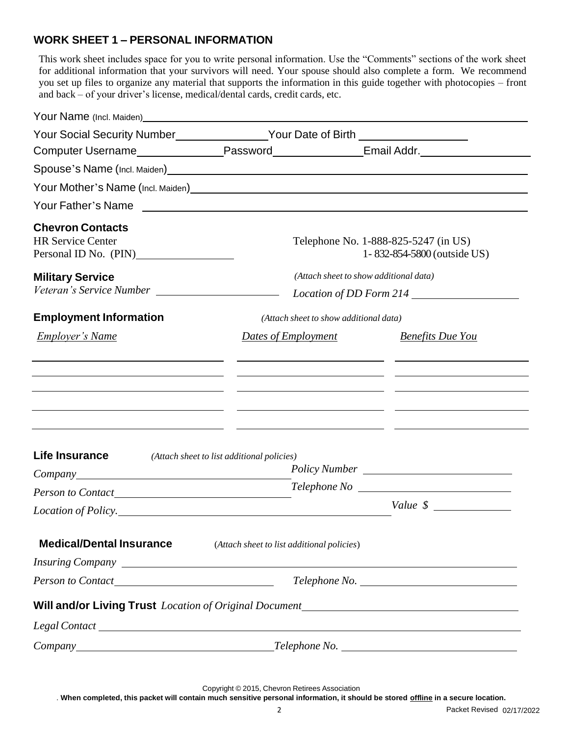# **WORK SHEET 1 – PERSONAL INFORMATION**

This work sheet includes space for you to write personal information. Use the "Comments" sections of the work sheet for additional information that your survivors will need. Your spouse should also complete a form. We recommend you set up files to organize any material that supports the information in this guide together with photocopies – front and back – of your driver's license, medical/dental cards, credit cards, etc.

| Your Social Security Number________________Your Date of Birth __________________               |                                                                                                                                                                     |                                                                     |
|------------------------------------------------------------------------------------------------|---------------------------------------------------------------------------------------------------------------------------------------------------------------------|---------------------------------------------------------------------|
|                                                                                                |                                                                                                                                                                     |                                                                     |
| Spouse's Name (Incl. Maiden)<br>Spouse's Name (Incl. Maiden)                                   |                                                                                                                                                                     |                                                                     |
|                                                                                                |                                                                                                                                                                     |                                                                     |
|                                                                                                |                                                                                                                                                                     |                                                                     |
| <b>Chevron Contacts</b><br><b>HR Service Center</b><br>Personal ID No. (PIN)<br><u>Letting</u> |                                                                                                                                                                     | Telephone No. 1-888-825-5247 (in US)<br>1-832-854-5800 (outside US) |
| <b>Military Service</b>                                                                        | (Attach sheet to show additional data)                                                                                                                              |                                                                     |
|                                                                                                |                                                                                                                                                                     | Location of DD Form 214                                             |
| <b>Employment Information</b>                                                                  | (Attach sheet to show additional data)                                                                                                                              |                                                                     |
| <b>Employer's Name</b>                                                                         | Dates of Employment                                                                                                                                                 | <b>Benefits Due You</b>                                             |
| Life Insurance                                                                                 | <u> 1990 - Jan Samuel Barbara, martin da shekara ta 1991 - An tsara tsara tsara tsara tsara tsara tsara tsara tsa</u><br>(Attach sheet to list additional policies) |                                                                     |
|                                                                                                |                                                                                                                                                                     |                                                                     |
|                                                                                                |                                                                                                                                                                     |                                                                     |
| Location of Policy.                                                                            |                                                                                                                                                                     |                                                                     |
| <b>Medical/Dental Insurance</b>                                                                | (Attach sheet to list additional policies)                                                                                                                          |                                                                     |
|                                                                                                |                                                                                                                                                                     |                                                                     |
|                                                                                                |                                                                                                                                                                     |                                                                     |
| Will and/or Living Trust Location of Original Document___________________________              |                                                                                                                                                                     |                                                                     |
|                                                                                                |                                                                                                                                                                     |                                                                     |
| Company Telephone No.                                                                          |                                                                                                                                                                     |                                                                     |

Copyright © 2015, Chevron Retirees Association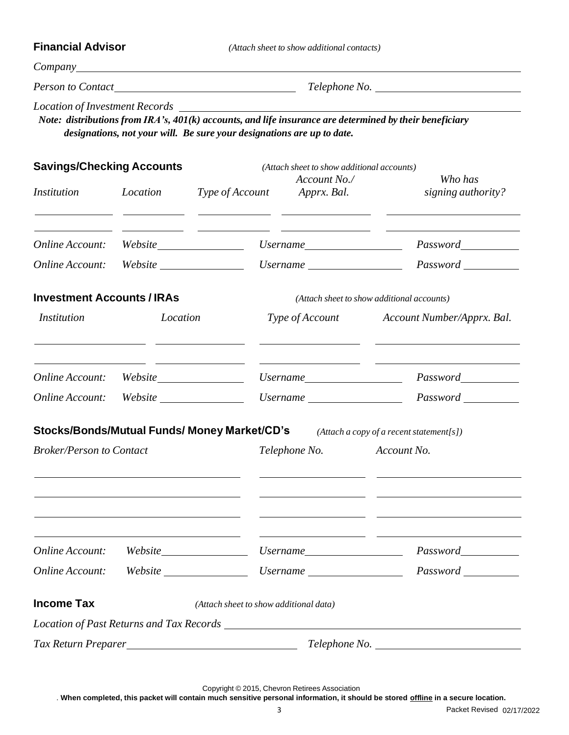**Financial Advisor** *(Attach sheetto show additional contacts)*

*Company*

*Person to Contact Internal <i>Zelephone No. Telephone No. Zelephone No. Zelephone No. Zelephone No. Zelephone No. Zelephone No. Zelephone No. Zelephone No. Zelephone No. Zelephone No. Zelephone No.* 

*Location of Investment Records* 

*Note: distributions from IRA's, 401(k) accounts, and life insurance are determined by their beneficiary designations, not your will. Be sure your designations are up to date.*

| <b>Savings/Checking Accounts</b>  |          |                                              | (Attach sheet to show additional accounts)                             |                                                                                                                        |
|-----------------------------------|----------|----------------------------------------------|------------------------------------------------------------------------|------------------------------------------------------------------------------------------------------------------------|
| <i>Institution</i>                | Location | Type of Account                              | Account No./<br>Apprx. Bal.                                            | Who has<br>signing authority?                                                                                          |
| Online Account:                   |          | Website                                      | $Use name \_\_$                                                        |                                                                                                                        |
| Online Account:                   |          |                                              | $Use name \_$                                                          |                                                                                                                        |
| <b>Investment Accounts / IRAs</b> |          |                                              |                                                                        | (Attach sheet to show additional accounts)                                                                             |
| <i>Institution</i>                |          | Location                                     |                                                                        | Type of Account Account Number/Apprx. Bal.                                                                             |
|                                   |          |                                              | $Use name \_\_$                                                        |                                                                                                                        |
|                                   |          |                                              | Username                                                               |                                                                                                                        |
|                                   |          | Stocks/Bonds/Mutual Funds/ Money Market/CD's |                                                                        | $(Attach a copy of a recent statement[s])$                                                                             |
| <b>Broker/Person to Contact</b>   |          |                                              | Telephone No.                                                          | Account No.                                                                                                            |
|                                   |          |                                              | <u> 1999 - John Harry Barn, amerikansk politiker (</u>                 | <u> 1989 - Johann John Stone, mars et al. 1989 - John Stone, mars et al. 1989 - John Stone, mars et al. 1989 - Joh</u> |
| Online Account:                   |          | Website                                      | Username                                                               | <i>Password</i> Password                                                                                               |
| <b>Online Account:</b>            | Website  |                                              | <i><u><b>Username</b></u></i>                                          | Password                                                                                                               |
| <b>Income Tax</b>                 |          | (Attach sheet to show additional data)       |                                                                        |                                                                                                                        |
|                                   |          |                                              | Location of Past Returns and Tax Records Contains 2006 and Tax Records |                                                                                                                        |
|                                   |          |                                              |                                                                        |                                                                                                                        |

Copyright © 2015, Chevron Retirees Association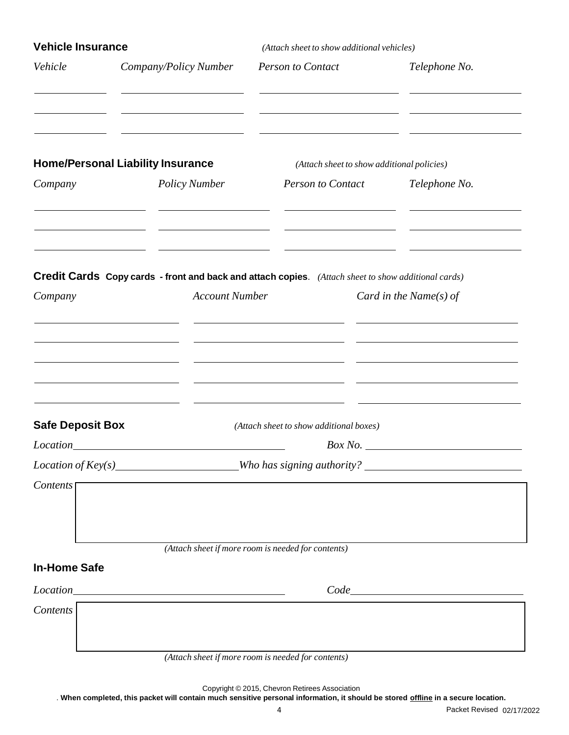| <b>Vehicle Insurance</b>        |                                                                                                                                     | (Attach sheet to show additional vehicles)                                              |                        |  |
|---------------------------------|-------------------------------------------------------------------------------------------------------------------------------------|-----------------------------------------------------------------------------------------|------------------------|--|
| Vehicle                         | Company/Policy Number                                                                                                               | <b>Person to Contact</b>                                                                | Telephone No.          |  |
| Company                         | <b>Home/Personal Liability Insurance</b><br><b>Policy Number</b>                                                                    | (Attach sheet to show additional policies)<br><b>Person to Contact</b>                  | Telephone No.          |  |
| Company                         | <b>Credit Cards Copy cards - front and back and attach copies.</b> (Attach sheet to show additional cards)<br><b>Account Number</b> |                                                                                         | Card in the Name(s) of |  |
| <b>Safe Deposit Box</b>         |                                                                                                                                     | <u> 1980 - Andrea Andrew Maria (b. 1980)</u><br>(Attach sheet to show additional boxes) |                        |  |
| Contents <sup>[1]</sup>         |                                                                                                                                     |                                                                                         | Box No.                |  |
| <b>In-Home Safe</b><br>Contents |                                                                                                                                     | (Attach sheet if more room is needed for contents)                                      |                        |  |
|                                 |                                                                                                                                     | (Attach sheet if more room is needed for contents)                                      |                        |  |

Copyright © 2015, Chevron Retirees Association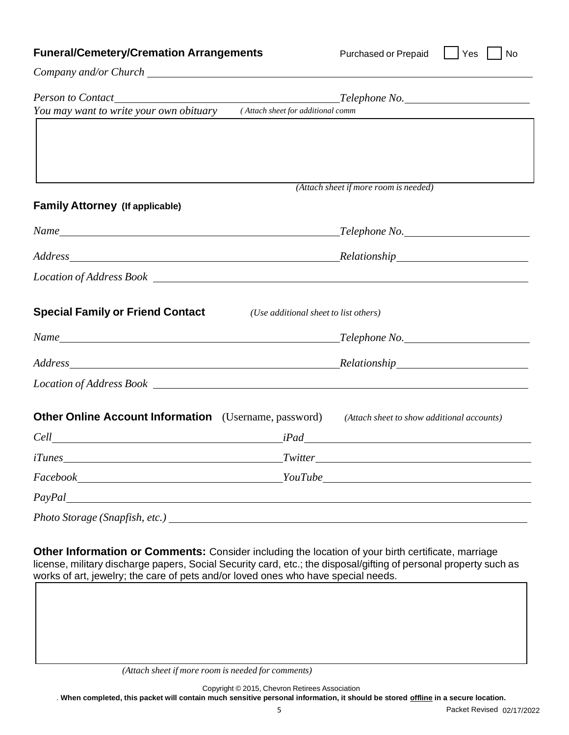| <b>Funeral/Cemetery/Cremation Arrangements</b> |  |  |
|------------------------------------------------|--|--|
|------------------------------------------------|--|--|

**Furchased or Prepaid | Yes | No** 

*Company and/or Church*

|                                                                                                         |                                       | $\blacksquare$ Telephone No. $\blacksquare$ |
|---------------------------------------------------------------------------------------------------------|---------------------------------------|---------------------------------------------|
| You may want to write your own obituary                                                                 | (Attach sheet for additional comm     |                                             |
|                                                                                                         |                                       |                                             |
|                                                                                                         |                                       |                                             |
|                                                                                                         |                                       |                                             |
|                                                                                                         |                                       | (Attach sheet if more room is needed)       |
| <b>Family Attorney (If applicable)</b>                                                                  |                                       |                                             |
|                                                                                                         |                                       |                                             |
| Address Relationship Relationship                                                                       |                                       |                                             |
|                                                                                                         |                                       |                                             |
| <b>Special Family or Friend Contact</b>                                                                 | (Use additional sheet to list others) |                                             |
|                                                                                                         |                                       |                                             |
| Address Relationship Relationship                                                                       |                                       |                                             |
|                                                                                                         |                                       |                                             |
| <b>Other Online Account Information</b> (Username, password) (Attach sheet to show additional accounts) |                                       |                                             |
|                                                                                                         |                                       |                                             |
|                                                                                                         |                                       |                                             |
|                                                                                                         |                                       |                                             |
|                                                                                                         |                                       |                                             |
|                                                                                                         |                                       |                                             |

license, military discharge papers, Social Security card, etc.; the disposal/gifting of personal property such as works of art, jewelry; the care of pets and/or loved ones who have special needs.

Copyright © 2015, Chevron Retirees Association

*<sup>(</sup>Attach sheet if more room is needed for comments)*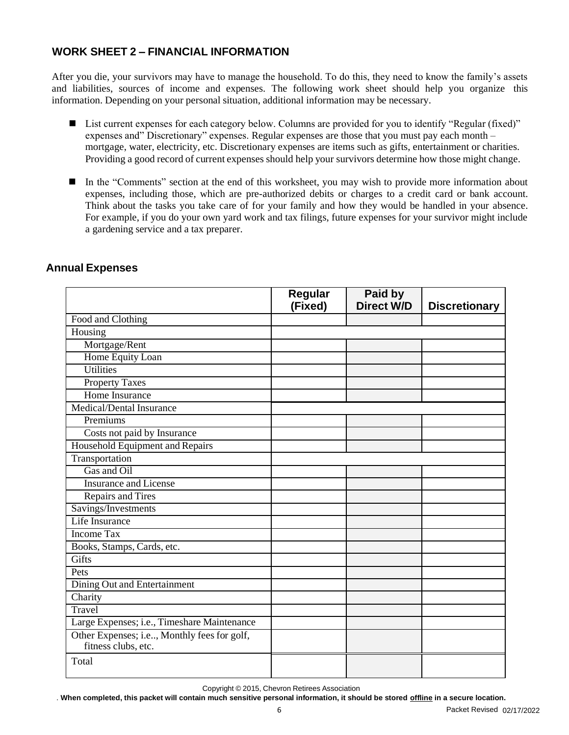# **WORK SHEET 2 – FINANCIAL INFORMATION**

After you die, your survivors may have to manage the household. To do this, they need to know the family's assets and liabilities, sources of income and expenses. The following work sheet should help you organize this information. Depending on your personal situation, additional information may be necessary.

- List current expenses for each category below. Columns are provided for you to identify "Regular (fixed)" expenses and" Discretionary" expenses. Regular expenses are those that you must pay each month – mortgage, water, electricity, etc. Discretionary expenses are items such as gifts, entertainment or charities. Providing a good record of current expenses should help your survivors determine how those might change.
- In the "Comments" section at the end of this worksheet, you may wish to provide more information about expenses, including those, which are pre-authorized debits or charges to a credit card or bank account. Think about the tasks you take care of for your family and how they would be handled in your absence. For example, if you do your own yard work and tax filings, future expenses for your survivor might include a gardening service and a tax preparer.

|                                                                    | Regular<br>(Fixed) | Paid by<br><b>Direct W/D</b> | <b>Discretionary</b> |
|--------------------------------------------------------------------|--------------------|------------------------------|----------------------|
| Food and Clothing                                                  |                    |                              |                      |
| Housing                                                            |                    |                              |                      |
| Mortgage/Rent                                                      |                    |                              |                      |
| Home Equity Loan                                                   |                    |                              |                      |
| <b>Utilities</b>                                                   |                    |                              |                      |
| <b>Property Taxes</b>                                              |                    |                              |                      |
| Home Insurance                                                     |                    |                              |                      |
| Medical/Dental Insurance                                           |                    |                              |                      |
| Premiums                                                           |                    |                              |                      |
| Costs not paid by Insurance                                        |                    |                              |                      |
| Household Equipment and Repairs                                    |                    |                              |                      |
| Transportation                                                     |                    |                              |                      |
| Gas and Oil                                                        |                    |                              |                      |
| <b>Insurance and License</b>                                       |                    |                              |                      |
| Repairs and Tires                                                  |                    |                              |                      |
| Savings/Investments                                                |                    |                              |                      |
| Life Insurance                                                     |                    |                              |                      |
| <b>Income Tax</b>                                                  |                    |                              |                      |
| Books, Stamps, Cards, etc.                                         |                    |                              |                      |
| <b>Gifts</b>                                                       |                    |                              |                      |
| Pets                                                               |                    |                              |                      |
| Dining Out and Entertainment                                       |                    |                              |                      |
| Charity                                                            |                    |                              |                      |
| Travel                                                             |                    |                              |                      |
| Large Expenses; i.e., Timeshare Maintenance                        |                    |                              |                      |
| Other Expenses; i.e, Monthly fees for golf,<br>fitness clubs, etc. |                    |                              |                      |
| Total                                                              |                    |                              |                      |

#### **Annual Expenses**

Copyright © 2015, Chevron Retirees Association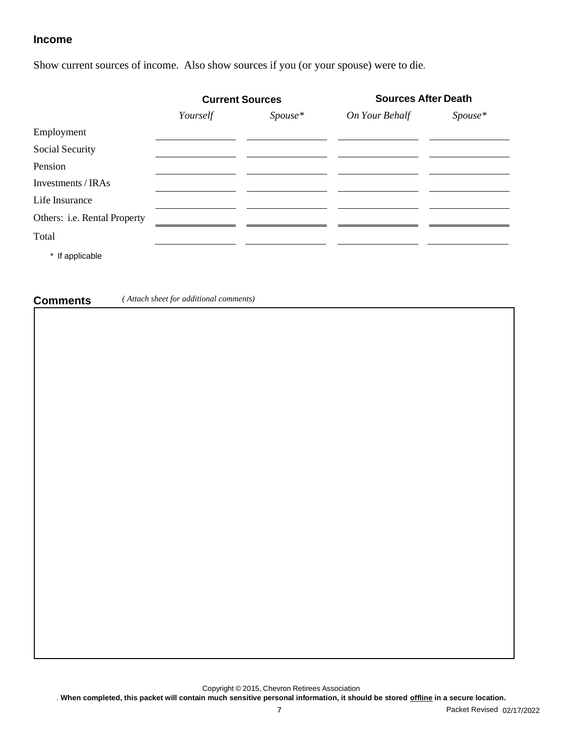#### **Income**

Show current sources of income. Also show sources if you (or your spouse) were to die.

|                              | <b>Current Sources</b> |           | <b>Sources After Death</b> |         |
|------------------------------|------------------------|-----------|----------------------------|---------|
|                              | Yourself               | $Spouse*$ | On Your Behalf             | Spouse* |
| Employment                   |                        |           |                            |         |
| Social Security              |                        |           |                            |         |
| Pension                      |                        |           |                            |         |
| Investments / IRAs           |                        |           |                            |         |
| Life Insurance               |                        |           |                            |         |
| Others: i.e. Rental Property |                        |           |                            |         |
| Total                        |                        |           |                            |         |
| * If applicable              |                        |           |                            |         |

**Comments** *( Attach sheet for additional comments)*

Copyright © 2015, Chevron Retirees Association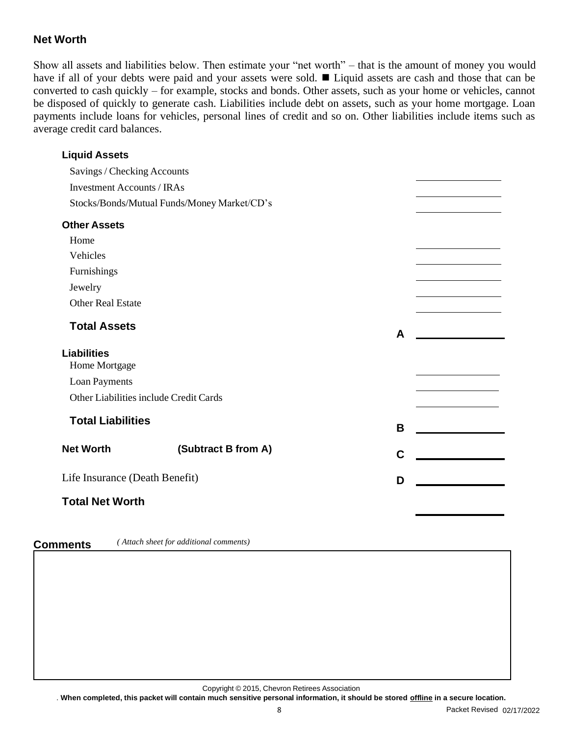# **Net Worth**

Show all assets and liabilities below. Then estimate your "net worth" – that is the amount of money you would have if all of your debts were paid and your assets were sold. ◼ Liquid assets are cash and those that can be converted to cash quickly – for example, stocks and bonds. Other assets, such as your home or vehicles, cannot be disposed of quickly to generate cash. Liabilities include debt on assets, such as your home mortgage. Loan payments include loans for vehicles, personal lines of credit and so on. Other liabilities include items such as average credit card balances.

# **Liquid Assets**

Savings / Checking Accounts Investment Accounts / IRAs Stocks/Bonds/Mutual Funds/Money Market/CD's

| <b>Other Assets</b>                    |                     |   |  |
|----------------------------------------|---------------------|---|--|
| Home                                   |                     |   |  |
| Vehicles                               |                     |   |  |
| Furnishings                            |                     |   |  |
| Jewelry                                |                     |   |  |
| <b>Other Real Estate</b>               |                     |   |  |
| <b>Total Assets</b>                    |                     | A |  |
| <b>Liabilities</b>                     |                     |   |  |
| Home Mortgage                          |                     |   |  |
| Loan Payments                          |                     |   |  |
| Other Liabilities include Credit Cards |                     |   |  |
| <b>Total Liabilities</b>               |                     |   |  |
|                                        |                     | B |  |
| <b>Net Worth</b>                       | (Subtract B from A) | C |  |
|                                        |                     |   |  |
| Life Insurance (Death Benefit)         |                     | D |  |
| <b>Total Net Worth</b>                 |                     |   |  |

# **Comments** *( Attach sheet for additional comments)*

Copyright © 2015, Chevron Retirees Association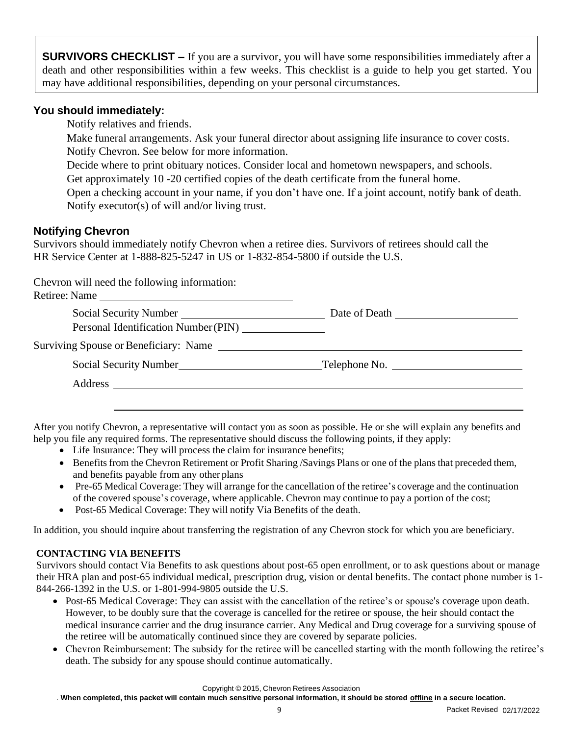**SURVIVORS CHECKLIST –** If you are a survivor, you will have some responsibilities immediately after a death and other responsibilities within a few weeks. This checklist is a guide to help you get started. You may have additional responsibilities, depending on your personal circumstances.

#### **You should immediately:**

Notify relatives and friends.

Make funeral arrangements. Ask your funeral director about assigning life insurance to cover costs. Notify Chevron. See below for more information.

Decide where to print obituary notices. Consider local and hometown newspapers, and schools. Get approximately 10 -20 certified copies of the death certificate from the funeral home.

Open a checking account in your name, if you don't have one. If a joint account, notify bank of death. Notify executor(s) of will and/or living trust.

# **Notifying Chevron**

Survivors should immediately notify Chevron when a retiree dies. Survivors of retirees should call the HR Service Center at 1-888-825-5247 in US or 1-832-854-5800 if outside the U.S.

Chevron will need the following information:

| Retiree: Name                                                                                                                                                                                                                                    |  |
|--------------------------------------------------------------------------------------------------------------------------------------------------------------------------------------------------------------------------------------------------|--|
| Social Security Number<br>Personal Identification Number (PIN)                                                                                                                                                                                   |  |
|                                                                                                                                                                                                                                                  |  |
| Social Security Number<br>Social Security Number<br>Social Security Number<br>Social Security Number<br>Social Security Number<br>Social Security Number<br>Social Security Number<br>Social Security Number<br>Social Security Number<br>Social |  |
|                                                                                                                                                                                                                                                  |  |
|                                                                                                                                                                                                                                                  |  |

After you notify Chevron, a representative will contact you as soon as possible. He or she will explain any benefits and help you file any required forms. The representative should discuss the following points, if they apply:

- Life Insurance: They will process the claim for insurance benefits;
- Benefits from the Chevron Retirement or Profit Sharing /Savings Plans or one of the plans that preceded them, and benefits payable from any other plans
- Pre-65 Medical Coverage: They will arrange for the cancellation of the retiree's coverage and the continuation of the covered spouse's coverage, where applicable. Chevron may continue to pay a portion of the cost;
- Post-65 Medical Coverage: They will notify Via Benefits of the death.

In addition, you should inquire about transferring the registration of any Chevron stock for which you are beneficiary.

# **CONTACTING VIA BENEFITS**

Survivors should contact Via Benefits to ask questions about post-65 open enrollment, or to ask questions about or manage their HRA plan and post-65 individual medical, prescription drug, vision or dental benefits. The contact phone number is 1- 844-266-1392 in the U.S. or 1-801-994-9805 outside the U.S.

- Post-65 Medical Coverage: They can assist with the cancellation of the retiree's or spouse's coverage upon death. However, to be doubly sure that the coverage is cancelled for the retiree or spouse, the heir should contact the medical insurance carrier and the drug insurance carrier. Any Medical and Drug coverage for a surviving spouse of the retiree will be automatically continued since they are covered by separate policies.
- Chevron Reimbursement: The subsidy for the retiree will be cancelled starting with the month following the retiree's death. The subsidy for any spouse should continue automatically.